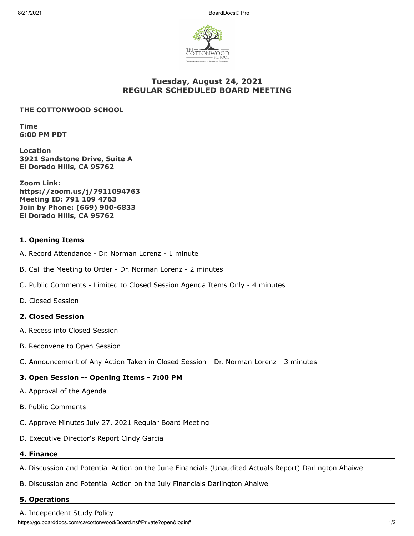

# **Tuesday, August 24, 2021 REGULAR SCHEDULED BOARD MEETING**

#### **THE COTTONWOOD SCHOOL**

**Time 6:00 PM PDT**

**Location 3921 Sandstone Drive, Suite A El Dorado Hills, CA 95762**

**Zoom Link: https://zoom.us/j/7911094763 Meeting ID: 791 109 4763 Join by Phone: (669) 900-6833 El Dorado Hills, CA 95762**

## **1. Opening Items**

- A. Record Attendance Dr. Norman Lorenz 1 minute
- B. Call the Meeting to Order Dr. Norman Lorenz 2 minutes
- C. Public Comments Limited to Closed Session Agenda Items Only 4 minutes
- D. Closed Session

## **2. Closed Session**

- A. Recess into Closed Session
- B. Reconvene to Open Session
- C. Announcement of Any Action Taken in Closed Session Dr. Norman Lorenz 3 minutes

## **3. Open Session -- Opening Items - 7:00 PM**

- A. Approval of the Agenda
- B. Public Comments
- C. Approve Minutes July 27, 2021 Regular Board Meeting
- D. Executive Director's Report Cindy Garcia

#### **4. Finance**

- A. Discussion and Potential Action on the June Financials (Unaudited Actuals Report) Darlington Ahaiwe
- B. Discussion and Potential Action on the July Financials Darlington Ahaiwe

#### **5. Operations**